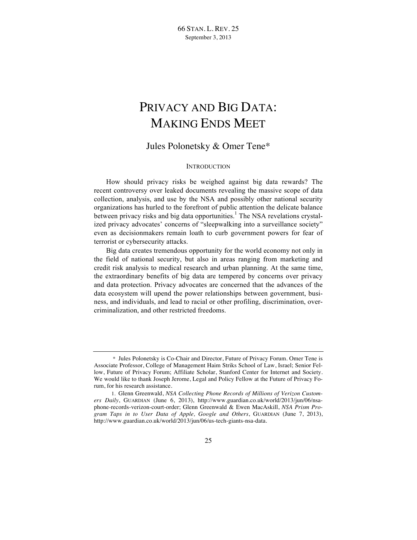# PRIVACY AND BIG DATA: MAKING ENDS MEET

Jules Polonetsky & Omer Tene\*

# **INTRODUCTION**

How should privacy risks be weighed against big data rewards? The recent controversy over leaked documents revealing the massive scope of data collection, analysis, and use by the NSA and possibly other national security organizations has hurled to the forefront of public attention the delicate balance between privacy risks and big data opportunities.<sup>1</sup> The NSA revelations crystalized privacy advocates' concerns of "sleepwalking into a surveillance society" even as decisionmakers remain loath to curb government powers for fear of terrorist or cybersecurity attacks.

Big data creates tremendous opportunity for the world economy not only in the field of national security, but also in areas ranging from marketing and credit risk analysis to medical research and urban planning. At the same time, the extraordinary benefits of big data are tempered by concerns over privacy and data protection. Privacy advocates are concerned that the advances of the data ecosystem will upend the power relationships between government, business, and individuals, and lead to racial or other profiling, discrimination, overcriminalization, and other restricted freedoms.

<sup>\*</sup> Jules Polonetsky is Co-Chair and Director, Future of Privacy Forum. Omer Tene is Associate Professor, College of Management Haim Striks School of Law, Israel; Senior Fellow, Future of Privacy Forum; Affiliate Scholar, Stanford Center for Internet and Society. We would like to thank Joseph Jerome, Legal and Policy Fellow at the Future of Privacy Forum, for his research assistance.

<sup>1.</sup> Glenn Greenwald, *NSA Collecting Phone Records of Millions of Verizon Customers Daily*, GUARDIAN (June 6, 2013), http://www.guardian.co.uk/world/2013/jun/06/nsaphone-records-verizon-court-order; Glenn Greenwald & Ewen MacAskill, *NSA Prism Program Taps in to User Data of Apple, Google and Others*, GUARDIAN (June 7, 2013), http://www.guardian.co.uk/world/2013/jun/06/us-tech-giants-nsa-data.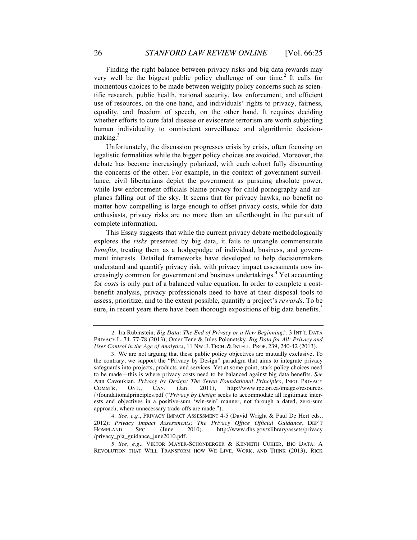Finding the right balance between privacy risks and big data rewards may very well be the biggest public policy challenge of our time.<sup>2</sup> It calls for momentous choices to be made between weighty policy concerns such as scientific research, public health, national security, law enforcement, and efficient use of resources, on the one hand, and individuals' rights to privacy, fairness, equality, and freedom of speech, on the other hand. It requires deciding whether efforts to cure fatal disease or eviscerate terrorism are worth subjecting human individuality to omniscient surveillance and algorithmic decisionmaking.<sup>3</sup>

Unfortunately, the discussion progresses crisis by crisis, often focusing on legalistic formalities while the bigger policy choices are avoided. Moreover, the debate has become increasingly polarized, with each cohort fully discounting the concerns of the other. For example, in the context of government surveillance, civil libertarians depict the government as pursuing absolute power, while law enforcement officials blame privacy for child pornography and airplanes falling out of the sky. It seems that for privacy hawks, no benefit no matter how compelling is large enough to offset privacy costs, while for data enthusiasts, privacy risks are no more than an afterthought in the pursuit of complete information.

This Essay suggests that while the current privacy debate methodologically explores the *risks* presented by big data, it fails to untangle commensurate *benefits*, treating them as a hodgepodge of individual, business, and government interests. Detailed frameworks have developed to help decisionmakers understand and quantify privacy risk, with privacy impact assessments now increasingly common for government and business undertakings.<sup>4</sup> Yet accounting for *costs* is only part of a balanced value equation. In order to complete a costbenefit analysis, privacy professionals need to have at their disposal tools to assess, prioritize, and to the extent possible, quantify a project's *rewards*. To be sure, in recent years there have been thorough expositions of big data benefits.<sup>5</sup>

<sup>2.</sup> Ira Rubinstein, *Big Data: The End of Privacy or a New Beginning?*, 3 INT'L DATA PRIVACY L. 74, 77-78 (2013); Omer Tene & Jules Polonetsky, *Big Data for All: Privacy and User Control in the Age of Analytics*, 11 NW. J. TECH. & INTELL. PROP. 239, 240-42 (2013).

<sup>3.</sup> We are not arguing that these public policy objectives are mutually exclusive. To the contrary, we support the "Privacy by Design" paradigm that aims to integrate privacy safeguards into projects, products, and services. Yet at some point, stark policy choices need to be made—this is where privacy costs need to be balanced against big data benefits. *See*  Ann Cavoukian, *Privacy by Design: The Seven Foundational Principles*, INFO. PRIVACY COMM'R, ONT., CAN. (Jan. 2011), http://www.ipc.on.ca/images/resources /7foundationalprinciples.pdf ("*Privacy by Design* seeks to accommodate all legitimate interests and objectives in a positive-sum 'win-win' manner, not through a dated, zero-sum approach, where unnecessary trade-offs are made.").

<sup>4.</sup> *See, e.g.*, PRIVACY IMPACT ASSESSMENT 4-5 (David Wright & Paul De Hert eds., 2012); *Privacy Impact Assessments: The Privacy Office Official Guidance*, DEP'T HOMELAND SEC. (June 2010), http://www.dhs.gov/xlibrary/assets/privacy /privacy\_pia\_guidance\_june2010.pdf.

<sup>5.</sup> *See, e.g.*, VIKTOR MAYER-SCHÖNBERGER & KENNETH CUKIER, BIG DATA: A REVOLUTION THAT WILL TRANSFORM HOW WE LIVE, WORK, AND THINK (2013); RICK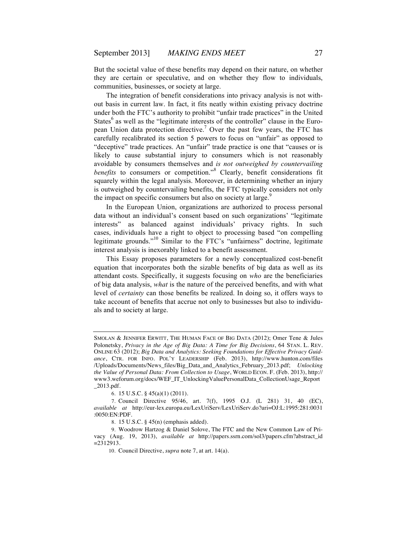But the societal value of these benefits may depend on their nature, on whether they are certain or speculative, and on whether they flow to individuals, communities, businesses, or society at large.

The integration of benefit considerations into privacy analysis is not without basis in current law. In fact, it fits neatly within existing privacy doctrine under both the FTC's authority to prohibit "unfair trade practices" in the United States $^6$  as well as the "legitimate interests of the controller" clause in the European Union data protection directive.7 Over the past few years, the FTC has carefully recalibrated its section 5 powers to focus on "unfair" as opposed to "deceptive" trade practices. An "unfair" trade practice is one that "causes or is likely to cause substantial injury to consumers which is not reasonably avoidable by consumers themselves and *is not outweighed by countervailing benefits* to consumers or competition."<sup>8</sup> Clearly, benefit considerations fit squarely within the legal analysis. Moreover, in determining whether an injury is outweighed by countervailing benefits, the FTC typically considers not only the impact on specific consumers but also on society at large.<sup>9</sup>

In the European Union, organizations are authorized to process personal data without an individual's consent based on such organizations' "legitimate interests" as balanced against individuals' privacy rights. In such cases, individuals have a right to object to processing based "on compelling legitimate grounds."<sup>10</sup> Similar to the FTC's "unfairness" doctrine, legitimate interest analysis is inexorably linked to a benefit assessment.

This Essay proposes parameters for a newly conceptualized cost-benefit equation that incorporates both the sizable benefits of big data as well as its attendant costs. Specifically, it suggests focusing on *who* are the beneficiaries of big data analysis, *what* is the nature of the perceived benefits, and with what level of *certainty* can those benefits be realized. In doing so, it offers ways to take account of benefits that accrue not only to businesses but also to individuals and to society at large.

6. 15 U.S.C. § 45(a)(1) (2011).

SMOLAN & JENNIFER ERWITT, THE HUMAN FACE OF BIG DATA (2012); Omer Tene & Jules Polonetsky, *Privacy in the Age of Big Data: A Time for Big Decisions*, 64 STAN. L. REV. ONLINE 63 (2012); *Big Data and Analytics: Seeking Foundations for Effective Privacy Guidance*, CTR. FOR INFO. POL'Y LEADERSHIP (Feb. 2013), http://www.hunton.com/files /Uploads/Documents/News\_files/Big\_Data\_and\_Analytics\_February\_2013.pdf; *Unlocking the Value of Personal Data: From Collection to Usage*, WORLD ECON. F. (Feb. 2013), http:// www3.weforum.org/docs/WEF\_IT\_UnlockingValuePersonalData\_CollectionUsage\_Report \_2013.pdf.

<sup>7.</sup> Council Directive 95/46, art. 7(f), 1995 O.J. (L 281) 31, 40 (EC), *available at* http://eur-lex.europa.eu/LexUriServ/LexUriServ.do?uri=OJ:L:1995:281:0031 :0050:EN:PDF.

<sup>8.</sup> 15 U.S.C. § 45(n) (emphasis added).

<sup>9.</sup> Woodrow Hartzog & Daniel Solove, The FTC and the New Common Law of Privacy (Aug. 19, 2013), *available at* http://papers.ssrn.com/sol3/papers.cfm?abstract\_id =2312913.

<sup>10.</sup> Council Directive, *supra* note 7, at art. 14(a).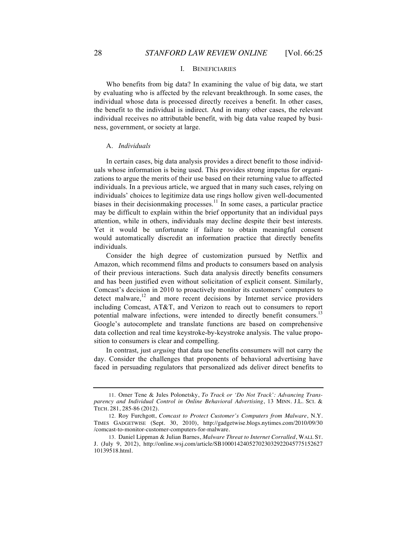## I. BENEFICIARIES

Who benefits from big data? In examining the value of big data, we start by evaluating who is affected by the relevant breakthrough. In some cases, the individual whose data is processed directly receives a benefit. In other cases, the benefit to the individual is indirect. And in many other cases, the relevant individual receives no attributable benefit, with big data value reaped by business, government, or society at large.

# A. *Individuals*

In certain cases, big data analysis provides a direct benefit to those individuals whose information is being used. This provides strong impetus for organizations to argue the merits of their use based on their returning value to affected individuals. In a previous article, we argued that in many such cases, relying on individuals' choices to legitimize data use rings hollow given well-documented biases in their decision making processes.<sup>11</sup> In some cases, a particular practice may be difficult to explain within the brief opportunity that an individual pays attention, while in others, individuals may decline despite their best interests. Yet it would be unfortunate if failure to obtain meaningful consent would automatically discredit an information practice that directly benefits individuals.

Consider the high degree of customization pursued by Netflix and Amazon, which recommend films and products to consumers based on analysis of their previous interactions. Such data analysis directly benefits consumers and has been justified even without solicitation of explicit consent. Similarly, Comcast's decision in 2010 to proactively monitor its customers' computers to detect malware, $12$  and more recent decisions by Internet service providers including Comcast, AT&T, and Verizon to reach out to consumers to report potential malware infections, were intended to directly benefit consumers.<sup>13</sup> Google's autocomplete and translate functions are based on comprehensive data collection and real time keystroke-by-keystroke analysis. The value proposition to consumers is clear and compelling.

In contrast, just *arguing* that data use benefits consumers will not carry the day. Consider the challenges that proponents of behavioral advertising have faced in persuading regulators that personalized ads deliver direct benefits to

<sup>11.</sup> Omer Tene & Jules Polonetsky, *To Track or 'Do Not Track': Advancing Transparency and Individual Control in Online Behavioral Advertising*, 13 MINN. J.L. SCI. & TECH. 281, 285-86 (2012).

<sup>12.</sup> Roy Furchgott, *Comcast to Protect Customer's Computers from Malware*, N.Y. TIMES GADGETWISE (Sept. 30, 2010), http://gadgetwise.blogs.nytimes.com/2010/09/30 /comcast-to-monitor-customer-computers-for-malware.

<sup>13.</sup> Daniel Lippman & Julian Barnes, *Malware Threat to Internet Corralled*, WALL ST. J. (July 9, 2012), http://online.wsj.com/article/SB100014240527023032922045775152627 10139518.html.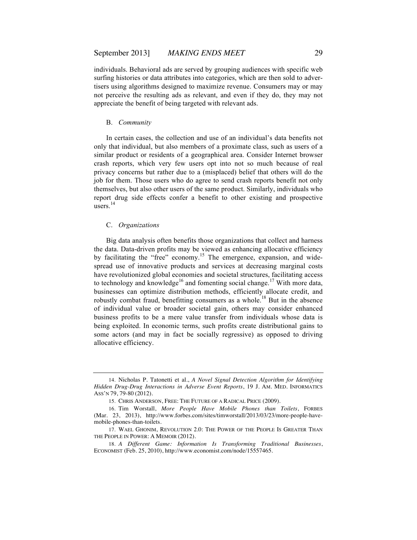individuals. Behavioral ads are served by grouping audiences with specific web surfing histories or data attributes into categories, which are then sold to advertisers using algorithms designed to maximize revenue. Consumers may or may not perceive the resulting ads as relevant, and even if they do, they may not appreciate the benefit of being targeted with relevant ads.

#### B. *Community*

In certain cases, the collection and use of an individual's data benefits not only that individual, but also members of a proximate class, such as users of a similar product or residents of a geographical area. Consider Internet browser crash reports, which very few users opt into not so much because of real privacy concerns but rather due to a (misplaced) belief that others will do the job for them. Those users who do agree to send crash reports benefit not only themselves, but also other users of the same product. Similarly, individuals who report drug side effects confer a benefit to other existing and prospective users. 14

# C. *Organizations*

Big data analysis often benefits those organizations that collect and harness the data. Data-driven profits may be viewed as enhancing allocative efficiency by facilitating the "free" economy.<sup>15</sup> The emergence, expansion, and widespread use of innovative products and services at decreasing marginal costs have revolutionized global economies and societal structures, facilitating access to technology and knowledge<sup>16</sup> and fomenting social change.<sup>17</sup> With more data, businesses can optimize distribution methods, efficiently allocate credit, and robustly combat fraud, benefitting consumers as a whole.<sup>18</sup> But in the absence of individual value or broader societal gain, others may consider enhanced business profits to be a mere value transfer from individuals whose data is being exploited. In economic terms, such profits create distributional gains to some actors (and may in fact be socially regressive) as opposed to driving allocative efficiency.

<sup>14.</sup> Nicholas P. Tatonetti et al., *A Novel Signal Detection Algorithm for Identifying Hidden Drug-Drug Interactions in Adverse Event Reports*, 19 J. AM. MED. INFORMATICS ASS'N 79, 79-80 (2012).

<sup>15.</sup> CHRIS ANDERSON, FREE: THE FUTURE OF A RADICAL PRICE (2009).

<sup>16.</sup> Tim Worstall, *More People Have Mobile Phones than Toilets*, FORBES (Mar. 23, 2013), http://www.forbes.com/sites/timworstall/2013/03/23/more-people-havemobile-phones-than-toilets.

<sup>17.</sup> WAEL GHONIM, REVOLUTION 2.0: THE POWER OF THE PEOPLE IS GREATER THAN THE PEOPLE IN POWER: A MEMOIR (2012).

<sup>18.</sup> *A Different Game: Information Is Transforming Traditional Businesses*, ECONOMIST (Feb. 25, 2010), http://www.economist.com/node/15557465.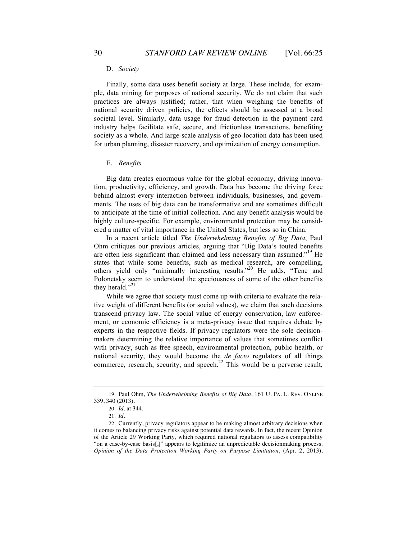#### D. *Society*

Finally, some data uses benefit society at large. These include, for example, data mining for purposes of national security. We do not claim that such practices are always justified; rather, that when weighing the benefits of national security driven policies, the effects should be assessed at a broad societal level. Similarly, data usage for fraud detection in the payment card industry helps facilitate safe, secure, and frictionless transactions, benefiting society as a whole. And large-scale analysis of geo-location data has been used for urban planning, disaster recovery, and optimization of energy consumption.

#### E. *Benefits*

Big data creates enormous value for the global economy, driving innovation, productivity, efficiency, and growth. Data has become the driving force behind almost every interaction between individuals, businesses, and governments. The uses of big data can be transformative and are sometimes difficult to anticipate at the time of initial collection. And any benefit analysis would be highly culture-specific. For example, environmental protection may be considered a matter of vital importance in the United States, but less so in China.

In a recent article titled *The Underwhelming Benefits of Big Data*, Paul Ohm critiques our previous articles, arguing that "Big Data's touted benefits are often less significant than claimed and less necessary than assumed."<sup>19</sup> He states that while some benefits, such as medical research, are compelling, others yield only "minimally interesting results."<sup>20</sup> He adds, "Tene and Polonetsky seem to understand the speciousness of some of the other benefits they herald." $^{21}$ 

While we agree that society must come up with criteria to evaluate the relative weight of different benefits (or social values), we claim that such decisions transcend privacy law. The social value of energy conservation, law enforcement, or economic efficiency is a meta-privacy issue that requires debate by experts in the respective fields. If privacy regulators were the sole decisionmakers determining the relative importance of values that sometimes conflict with privacy, such as free speech, environmental protection, public health, or national security, they would become the *de facto* regulators of all things commerce, research, security, and speech. $^{22}$  This would be a perverse result,

<sup>19.</sup> Paul Ohm, *The Underwhelming Benefits of Big Data*, 161 U. PA. L. REV. ONLINE 339, 340 (2013).

<sup>20.</sup> *Id.* at 344.

<sup>21.</sup> *Id.*

<sup>22.</sup> Currently, privacy regulators appear to be making almost arbitrary decisions when it comes to balancing privacy risks against potential data rewards. In fact, the recent Opinion of the Article 29 Working Party, which required national regulators to assess compatibility "on a case-by-case basis[,]" appears to legitimize an unpredictable decisionmaking process. *Opinion of the Data Protection Working Party on Purpose Limitation*, (Apr. 2, 2013),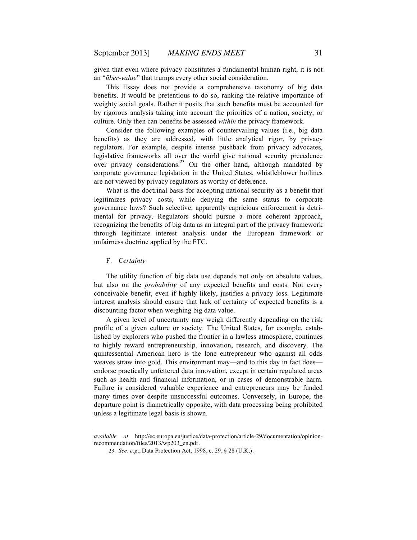given that even where privacy constitutes a fundamental human right, it is not an "*über-value*" that trumps every other social consideration.

This Essay does not provide a comprehensive taxonomy of big data benefits. It would be pretentious to do so, ranking the relative importance of weighty social goals. Rather it posits that such benefits must be accounted for by rigorous analysis taking into account the priorities of a nation, society, or culture. Only then can benefits be assessed *within* the privacy framework.

Consider the following examples of countervailing values (i.e., big data benefits) as they are addressed, with little analytical rigor, by privacy regulators. For example, despite intense pushback from privacy advocates, legislative frameworks all over the world give national security precedence over privacy considerations.<sup>23</sup> On the other hand, although mandated by corporate governance legislation in the United States, whistleblower hotlines are not viewed by privacy regulators as worthy of deference.

What is the doctrinal basis for accepting national security as a benefit that legitimizes privacy costs, while denying the same status to corporate governance laws? Such selective, apparently capricious enforcement is detrimental for privacy. Regulators should pursue a more coherent approach, recognizing the benefits of big data as an integral part of the privacy framework through legitimate interest analysis under the European framework or unfairness doctrine applied by the FTC.

#### F. *Certainty*

The utility function of big data use depends not only on absolute values, but also on the *probability* of any expected benefits and costs. Not every conceivable benefit, even if highly likely, justifies a privacy loss. Legitimate interest analysis should ensure that lack of certainty of expected benefits is a discounting factor when weighing big data value.

A given level of uncertainty may weigh differently depending on the risk profile of a given culture or society. The United States, for example, established by explorers who pushed the frontier in a lawless atmosphere, continues to highly reward entrepreneurship, innovation, research, and discovery. The quintessential American hero is the lone entrepreneur who against all odds weaves straw into gold. This environment may—and to this day in fact does endorse practically unfettered data innovation, except in certain regulated areas such as health and financial information, or in cases of demonstrable harm. Failure is considered valuable experience and entrepreneurs may be funded many times over despite unsuccessful outcomes. Conversely, in Europe, the departure point is diametrically opposite, with data processing being prohibited unless a legitimate legal basis is shown.

*available at* http://ec.europa.eu/justice/data-protection/article-29/documentation/opinionrecommendation/files/2013/wp203\_en.pdf.

<sup>23.</sup> *See, e.g.*, Data Protection Act, 1998, c. 29, § 28 (U.K.).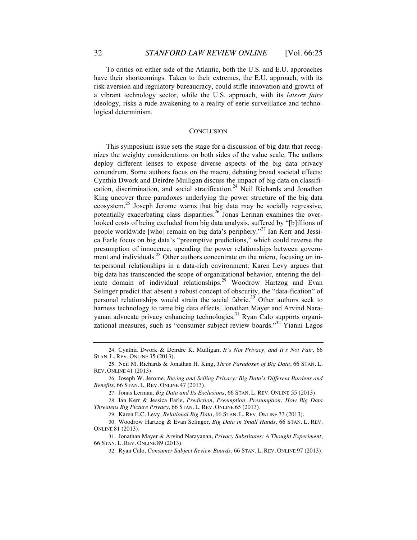To critics on either side of the Atlantic, both the U.S. and E.U. approaches have their shortcomings. Taken to their extremes, the E.U. approach, with its risk aversion and regulatory bureaucracy, could stifle innovation and growth of a vibrant technology sector, while the U.S. approach, with its *laissez faire*  ideology, risks a rude awakening to a reality of eerie surveillance and technological determinism.

### **CONCLUSION**

This symposium issue sets the stage for a discussion of big data that recognizes the weighty considerations on both sides of the value scale. The authors deploy different lenses to expose diverse aspects of the big data privacy conundrum. Some authors focus on the macro, debating broad societal effects: Cynthia Dwork and Deirdre Mulligan discuss the impact of big data on classification, discrimination, and social stratification.<sup>24</sup> Neil Richards and Jonathan King uncover three paradoxes underlying the power structure of the big data ecosystem.<sup>25</sup> Joseph Jerome warns that big data may be socially regressive, potentially exacerbating class disparities.<sup>26</sup> Jonas Lerman examines the overlooked costs of being excluded from big data analysis, suffered by "[b]illions of people worldwide [who] remain on big data's periphery."<sup>27</sup> Ian Kerr and Jessica Earle focus on big data's "preemptive predictions," which could reverse the presumption of innocence, upending the power relationships between government and individuals.<sup>28</sup> Other authors concentrate on the micro, focusing on interpersonal relationships in a data-rich environment: Karen Levy argues that big data has transcended the scope of organizational behavior, entering the delicate domain of individual relationships.<sup>29</sup> Woodrow Hartzog and Evan Selinger predict that absent a robust concept of obscurity, the "data-fication" of personal relationships would strain the social fabric.<sup>30</sup> Other authors seek to harness technology to tame big data effects. Jonathan Mayer and Arvind Narayanan advocate privacy enhancing technologies.<sup>31</sup> Ryan Calo supports organizational measures, such as "consumer subject review boards."<sup>32</sup> Yianni Lagos

<sup>24.</sup> Cynthia Dwork & Deirdre K. Mulligan, *It's Not Privacy, and It's Not Fair*, 66 STAN. L. REV. ONLINE 35 (2013).

<sup>25.</sup> Neil M. Richards & Jonathan H. King, *Three Paradoxes of Big Data*, 66 STAN. L. REV. ONLINE 41 (2013).

<sup>26.</sup> Joseph W. Jerome, *Buying and Selling Privacy: Big Data's Different Burdens and Benefits*, 66 STAN. L. REV. ONLINE 47 (2013).

<sup>27.</sup> Jonas Lerman, *Big Data and Its Exclusions*, 66 STAN. L. REV. ONLINE 55 (2013).

<sup>28.</sup> Ian Kerr & Jessica Earle, *Prediction, Preemption, Presumption: How Big Data Threatens Big Picture Privacy*, 66 STAN. L. REV. ONLINE 65 (2013).

<sup>29.</sup> Karen E.C. Levy, *Relational Big Data*, 66 STAN. L. REV. ONLINE 73 (2013).

<sup>30.</sup> Woodrow Hartzog & Evan Selinger, *Big Data in Small Hands*, 66 STAN. L. REV. ONLINE 81 (2013).

<sup>31.</sup> Jonathan Mayer & Arvind Narayanan, *Privacy Substitutes: A Thought Experiment*, 66 STAN. L. REV. ONLINE 89 (2013).

<sup>32.</sup> Ryan Calo, *Consumer Subject Review Boards*, 66 STAN. L. REV. ONLINE 97 (2013).